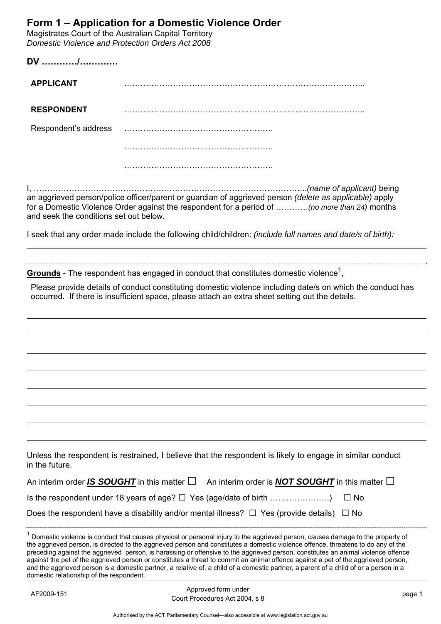## **Form 1 – Application for a Domestic Violence Order**

Magistrates Court of the Australian Capital Territory *Domestic Violence and Protection Orders Act 2008* 

**DV …………/………….** 

| <b>APPLICANT</b> |  |
|------------------|--|
|                  |  |

**RESPONDENT** ……………………………………………………………………………..

Respondent's address ……………………………………………….

……………………………………………….

I, ………………………………………………………………………………………..*(name of applicant)* being an aggrieved person/police officer/parent or guardian of aggrieved person *(delete as applicable)* apply for a Domestic Violence Order against the respondent for a period of …………*(no more than 24)* months and seek the conditions set out below.

I seek that any order made include the following child/children: *(include full names and date/s of birth):* 

Grounds - The respondent has engaged in conduct that constitutes domestic violence<sup>1</sup>,

Please provide details of conduct constituting domestic violence including date/s on which the conduct has occurred. If there is insufficient space, please attach an extra sheet setting out the details.

| Unless the respondent is restrained, I believe that the respondent is likely to engage in similar conduct |  |  |  |
|-----------------------------------------------------------------------------------------------------------|--|--|--|
| in the future.                                                                                            |  |  |  |

| An interim order IS SOUGHT in this matter $\square$ An interim order is <b>NOT SOUGHT</b> in this matter $\square$ |  |
|--------------------------------------------------------------------------------------------------------------------|--|
|                                                                                                                    |  |
| Does the respondent have a disability and/or mental illness? $\Box$ Yes (provide details) $\Box$ No                |  |

| Domestic violence is conduct that causes physical or personal injury to the aggrieved person, causes damage to the property of        |
|---------------------------------------------------------------------------------------------------------------------------------------|
| the aggrieved person, is directed to the aggrieved person and constitutes a domestic violence offence, threatens to do any of the     |
| preceding against the aggrieved person, is harassing or offensive to the aggrieved person, constitutes an animal violence offence     |
| against the pet of the aggrieved person or constitutes a threat to commit an animal offence against a pet of the aggrieved person,    |
| and the aggrieved person is a domestic partner, a relative of, a child of a domestic partner, a parent of a child of or a person in a |
| domestic relationship of the respondent.                                                                                              |